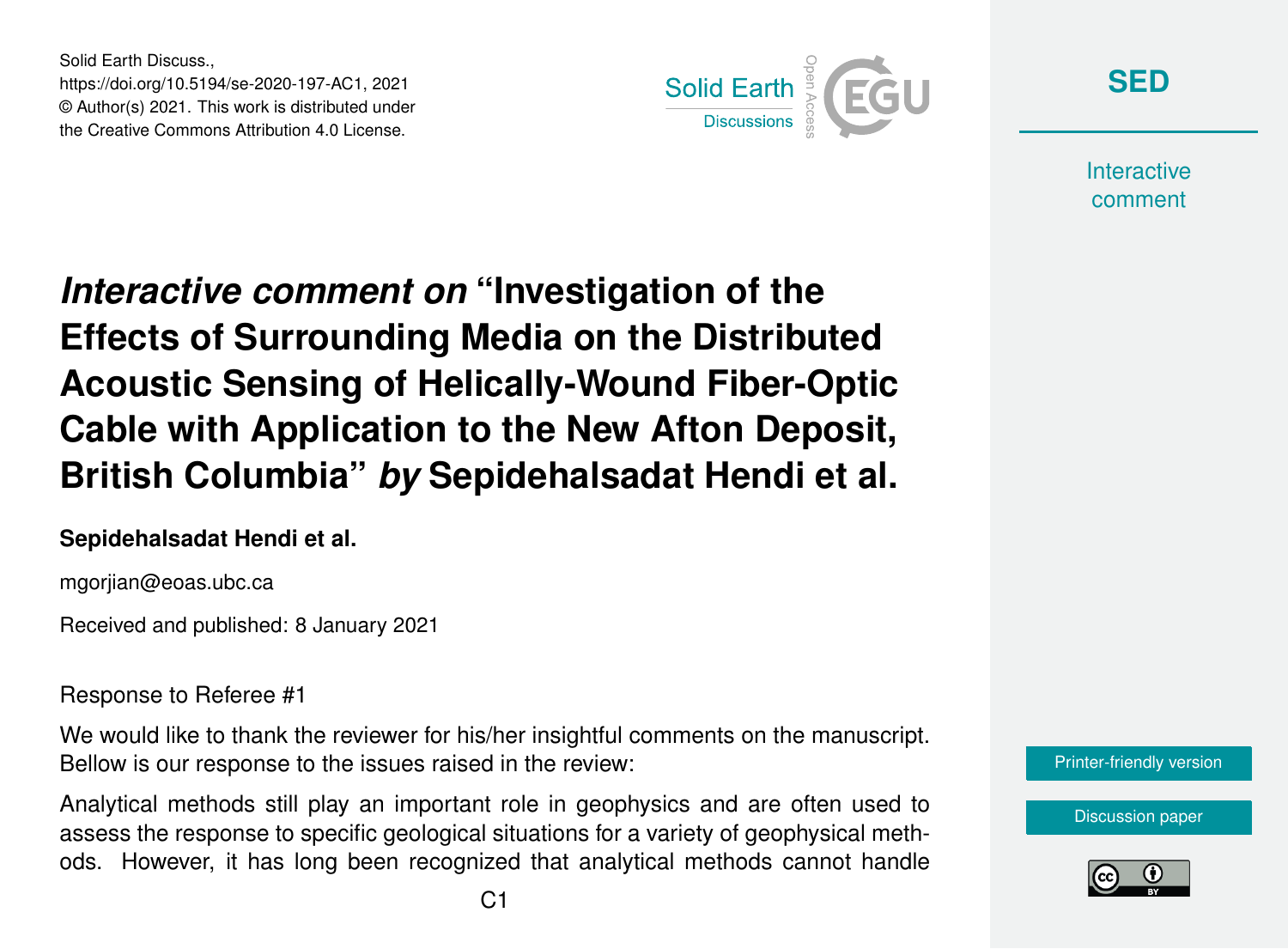Solid Earth Discuss., https://doi.org/10.5194/se-2020-197-AC1, 2021 © Author(s) 2021. This work is distributed under the Creative Commons Attribution 4.0 License.



**[SED](https://se.copernicus.org/preprints/)**

**Interactive** comment

*Interactive comment on* **"Investigation of the Effects of Surrounding Media on the Distributed Acoustic Sensing of Helically-Wound Fiber-Optic Cable with Application to the New Afton Deposit, British Columbia"** *by* **Sepidehalsadat Hendi et al.**

## **Sepidehalsadat Hendi et al.**

mgorjian@eoas.ubc.ca

Received and published: 8 January 2021

Response to Referee #1

We would like to thank the reviewer for his/her insightful comments on the manuscript. Bellow is our response to the issues raised in the review:

Analytical methods still play an important role in geophysics and are often used to assess the response to specific geological situations for a variety of geophysical methods. However, it has long been recognized that analytical methods cannot handle



[Discussion paper](https://se.copernicus.org/preprints/se-2020-197)